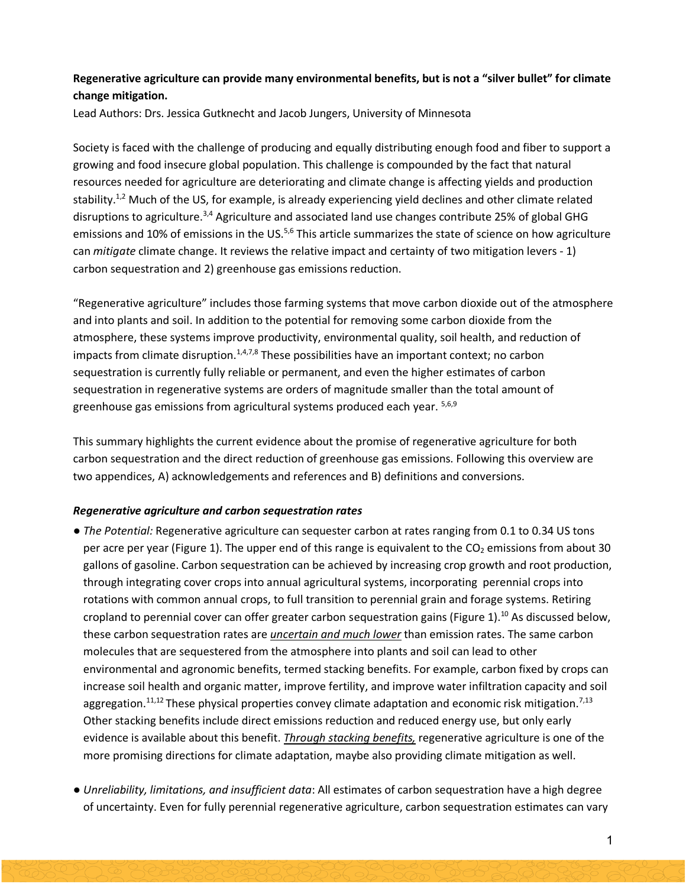# **Regenerative agriculture can provide many environmental benefits, but is not a "silver bullet" for climate change mitigation.**

Lead Authors: Drs. Jessica Gutknecht and Jacob Jungers, University of Minnesota

Society is faced with the challenge of producing and equally distributing enough food and fiber to support a growing and food insecure global population. This challenge is compounded by the fact that natural resources needed for agriculture are deteriorating and climate change is affecting yields and production stability.<sup>1,2</sup> Much of the US, for example, is already experiencing yield declines and other climate related disruptions to agriculture.3,4 Agriculture and associated land use changes contribute 25% of global GHG emissions and 10% of emissions in the US.<sup>5,6</sup> This article summarizes the state of science on how agriculture can *mitigate* climate change. It reviews the relative impact and certainty of two mitigation levers - 1) carbon sequestration and 2) greenhouse gas emissions reduction.

"Regenerative agriculture" includes those farming systems that move carbon dioxide out of the atmosphere and into plants and soil. In addition to the potential for removing some carbon dioxide from the atmosphere, these systems improve productivity, environmental quality, soil health, and reduction of impacts from climate disruption.<sup>1,4,7,8</sup> These possibilities have an important context; no carbon sequestration is currently fully reliable or permanent, and even the higher estimates of carbon sequestration in regenerative systems are orders of magnitude smaller than the total amount of greenhouse gas emissions from agricultural systems produced each year. 5,6,9

This summary highlights the current evidence about the promise of regenerative agriculture for both carbon sequestration and the direct reduction of greenhouse gas emissions. Following this overview are two appendices, A) acknowledgements and references and B) definitions and conversions.

## *Regenerative agriculture and carbon sequestration rates*

- *The Potential:* Regenerative agriculture can sequester carbon at rates ranging from 0.1 to 0.34 US tons per acre per year (Figure 1). The upper end of this range is equivalent to the  $CO<sub>2</sub>$  emissions from about 30 gallons of gasoline. Carbon sequestration can be achieved by increasing crop growth and root production, through integrating cover crops into annual agricultural systems, incorporating perennial crops into rotations with common annual crops, to full transition to perennial grain and forage systems. Retiring cropland to perennial cover can offer greater carbon sequestration gains (Figure 1).<sup>10</sup> As discussed below, these carbon sequestration rates are *uncertain and much lower* than emission rates. The same carbon molecules that are sequestered from the atmosphere into plants and soil can lead to other environmental and agronomic benefits, termed stacking benefits. For example, carbon fixed by crops can increase soil health and organic matter, improve fertility, and improve water infiltration capacity and soil aggregation.<sup>11,12</sup> These physical properties convey climate adaptation and economic risk mitigation.<sup>7,13</sup> Other stacking benefits include direct emissions reduction and reduced energy use, but only early evidence is available about this benefit. *Through stacking benefits,* regenerative agriculture is one of the more promising directions for climate adaptation, maybe also providing climate mitigation as well.
- *Unreliability, limitations, and insufficient data*: All estimates of carbon sequestration have a high degree of uncertainty. Even for fully perennial regenerative agriculture, carbon sequestration estimates can vary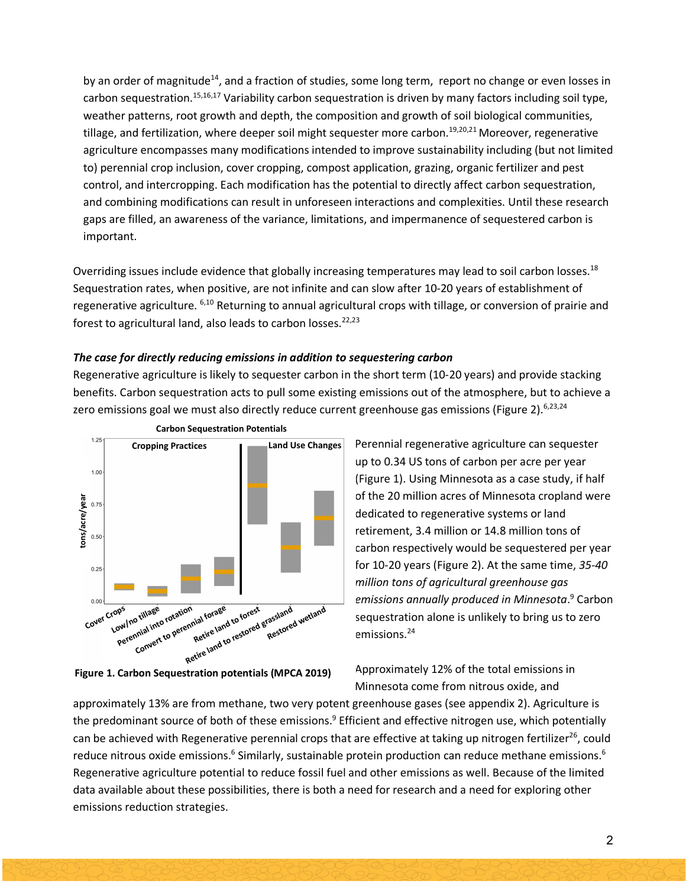by an order of magnitude<sup>14</sup>, and a fraction of studies, some long term, report no change or even losses in carbon sequestration.<sup>15,16,17</sup> Variability carbon sequestration is driven by many factors including soil type, weather patterns, root growth and depth, the composition and growth of soil biological communities, tillage, and fertilization, where deeper soil might sequester more carbon.<sup>19,20,21</sup> Moreover, regenerative agriculture encompasses many modifications intended to improve sustainability including (but not limited to) perennial crop inclusion, cover cropping, compost application, grazing, organic fertilizer and pest control, and intercropping. Each modification has the potential to directly affect carbon sequestration, and combining modifications can result in unforeseen interactions and complexities. Until these research gaps are filled, an awareness of the variance, limitations, and impermanence of sequestered carbon is important.

Overriding issues include evidence that globally increasing temperatures may lead to soil carbon losses.<sup>18</sup> Sequestration rates, when positive, are not infinite and can slow after 10-20 years of establishment of regenerative agriculture. 6,10 Returning to annual agricultural crops with tillage, or conversion of prairie and forest to agricultural land, also leads to carbon losses.<sup>22,23</sup>

#### *The case for directly reducing emissions in addition to sequestering carbon*

Regenerative agriculture is likely to sequester carbon in the short term (10-20 years) and provide stacking benefits. Carbon sequestration acts to pull some existing emissions out of the atmosphere, but to achieve a zero emissions goal we must also directly reduce current greenhouse gas emissions (Figure 2).<sup>6,23,24</sup>



**Figure 1. Carbon Sequestration potentials (MPCA 2019)**

Perennial regenerative agriculture can sequester up to 0.34 US tons of carbon per acre per year (Figure 1). Using Minnesota as a case study, if half of the 20 million acres of Minnesota cropland were dedicated to regenerative systems or land retirement, 3.4 million or 14.8 million tons of carbon respectively would be sequestered per year for 10-20 years (Figure 2). At the same time, *35-40 million tons of agricultural greenhouse gas emissions annually produced in Minnesota*. <sup>9</sup> Carbon sequestration alone is unlikely to bring us to zero emissions.24

Approximately 12% of the total emissions in Minnesota come from nitrous oxide, and

approximately 13% are from methane, two very potent greenhouse gases (see appendix 2). Agriculture is the predominant source of both of these emissions.<sup>9</sup> Efficient and effective nitrogen use, which potentially can be achieved with Regenerative perennial crops that are effective at taking up nitrogen fertilizer<sup>26</sup>, could reduce nitrous oxide emissions.<sup>6</sup> Similarly, sustainable protein production can reduce methane emissions.<sup>6</sup> Regenerative agriculture potential to reduce fossil fuel and other emissions as well. Because of the limited data available about these possibilities, there is both a need for research and a need for exploring other emissions reduction strategies.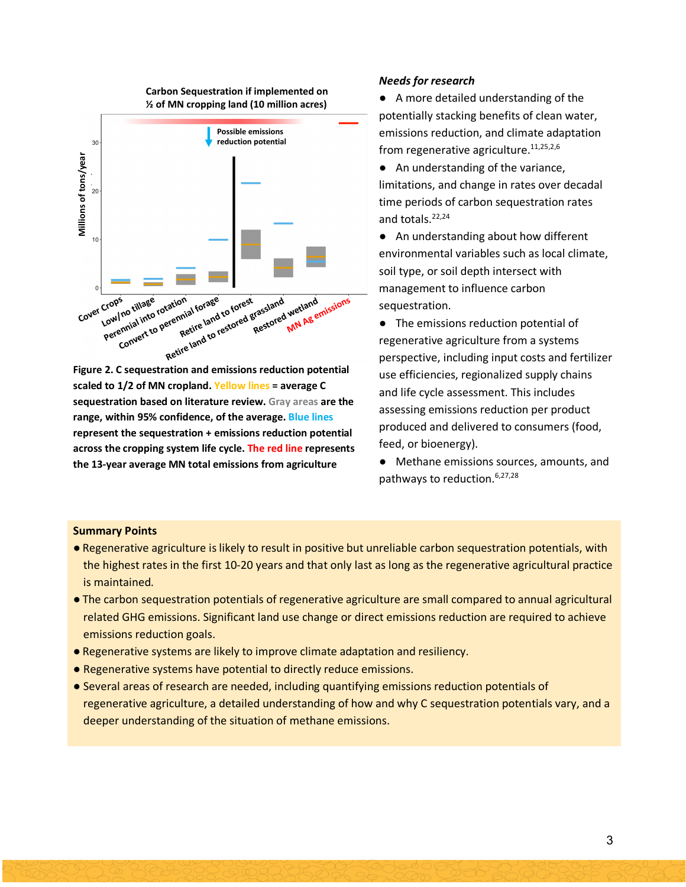

**Figure 2. C sequestration and emissions reduction potential scaled to 1/2 of MN cropland. Yellow lines = average C sequestration based on literature review. Gray areas are the range, within 95% confidence, of the average. Blue lines represent the sequestration + emissions reduction potential across the cropping system life cycle. The red line represents** 

#### *Needs for research*

● A more detailed understanding of the potentially stacking benefits of clean water, emissions reduction, and climate adaptation from regenerative agriculture. $11,25,2,6$ 

- An understanding of the variance, limitations, and change in rates over decadal time periods of carbon sequestration rates and totals.<sup>22,24</sup>
- An understanding about how different environmental variables such as local climate, soil type, or soil depth intersect with management to influence carbon sequestration.
- The emissions reduction potential of regenerative agriculture from a systems perspective, including input costs and fertilizer use efficiencies, regionalized supply chains and life cycle assessment. This includes assessing emissions reduction per product produced and delivered to consumers (food, feed, or bioenergy).
- Methane emissions sources, amounts, and pathways to reduction. 6,27,28

#### **Summary Points**

- Regenerative agriculture is likely to result in positive but unreliable carbon sequestration potentials, with the highest rates in the first 10-20 years and that only last as long as the regenerative agricultural practice is maintained.
- The carbon sequestration potentials of regenerative agriculture are small compared to annual agricultural related GHG emissions. Significant land use change or direct emissions reduction are required to achieve emissions reduction goals.
- Regenerative systems are likely to improve climate adaptation and resiliency.
- Regenerative systems have potential to directly reduce emissions.
- Several areas of research are needed, including quantifying emissions reduction potentials of regenerative agriculture, a detailed understanding of how and why C sequestration potentials vary, and a deeper understanding of the situation of methane emissions.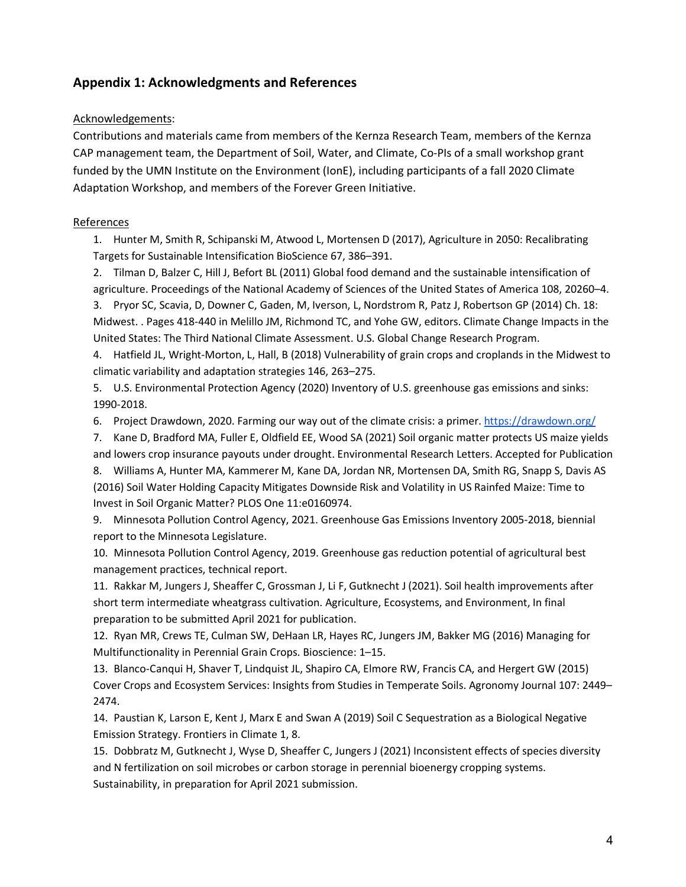# **Appendix 1: Acknowledgments and References**

#### Acknowledgements:

Contributions and materials came from members of the Kernza Research Team, members of the Kernza CAP management team, the Department of Soil, Water, and Climate, Co-PIs of a small workshop grant funded by the UMN Institute on the Environment (IonE), including participants of a fall 2020 Climate Adaptation Workshop, and members of the Forever Green Initiative.

#### References

1. Hunter M, Smith R, Schipanski M, Atwood L, Mortensen D (2017), Agriculture in 2050: Recalibrating Targets for Sustainable Intensification BioScience 67, 386–391.

2. Tilman D, Balzer C, Hill J, Befort BL (2011) Global food demand and the sustainable intensification of agriculture. Proceedings of the National Academy of Sciences of the United States of America 108, 20260–4.

3. Pryor SC, Scavia, D, Downer C, Gaden, M, Iverson, L, Nordstrom R, Patz J, Robertson GP (2014) Ch. 18: Midwest. . Pages 418-440 in Melillo JM, Richmond TC, and Yohe GW, editors. Climate Change Impacts in the United States: The Third National Climate Assessment. U.S. Global Change Research Program.

4. Hatfield JL, Wright-Morton, L, Hall, B (2018) Vulnerability of grain crops and croplands in the Midwest to climatic variability and adaptation strategies 146, 263–275.

5. U.S. Environmental Protection Agency (2020) Inventory of U.S. greenhouse gas emissions and sinks: 1990-2018.

6. Project Drawdown, 2020. Farming our way out of the climate crisis: a primer. https://drawdown.org/

7. Kane D, Bradford MA, Fuller E, Oldfield EE, Wood SA (2021) Soil organic matter protects US maize yields and lowers crop insurance payouts under drought. Environmental Research Letters. Accepted for Publication

8. Williams A, Hunter MA, Kammerer M, Kane DA, Jordan NR, Mortensen DA, Smith RG, Snapp S, Davis AS (2016) Soil Water Holding Capacity Mitigates Downside Risk and Volatility in US Rainfed Maize: Time to Invest in Soil Organic Matter? PLOS One 11:e0160974.

9. Minnesota Pollution Control Agency, 2021. Greenhouse Gas Emissions Inventory 2005-2018, biennial report to the Minnesota Legislature.

10. Minnesota Pollution Control Agency, 2019. Greenhouse gas reduction potential of agricultural best management practices, technical report.

11. Rakkar M, Jungers J, Sheaffer C, Grossman J, Li F, Gutknecht J (2021). Soil health improvements after short term intermediate wheatgrass cultivation. Agriculture, Ecosystems, and Environment, In final preparation to be submitted April 2021 for publication.

12. Ryan MR, Crews TE, Culman SW, DeHaan LR, Hayes RC, Jungers JM, Bakker MG (2016) Managing for Multifunctionality in Perennial Grain Crops. Bioscience: 1–15.

13. Blanco-Canqui H, Shaver T, Lindquist JL, Shapiro CA, Elmore RW, Francis CA, and Hergert GW (2015) Cover Crops and Ecosystem Services: Insights from Studies in Temperate Soils. Agronomy Journal 107: 2449– 2474.

14. Paustian K, Larson E, Kent J, Marx E and Swan A (2019) Soil C Sequestration as a Biological Negative Emission Strategy. Frontiers in Climate 1, 8.

15. Dobbratz M, Gutknecht J, Wyse D, Sheaffer C, Jungers J (2021) Inconsistent effects of species diversity and N fertilization on soil microbes or carbon storage in perennial bioenergy cropping systems. Sustainability, in preparation for April 2021 submission.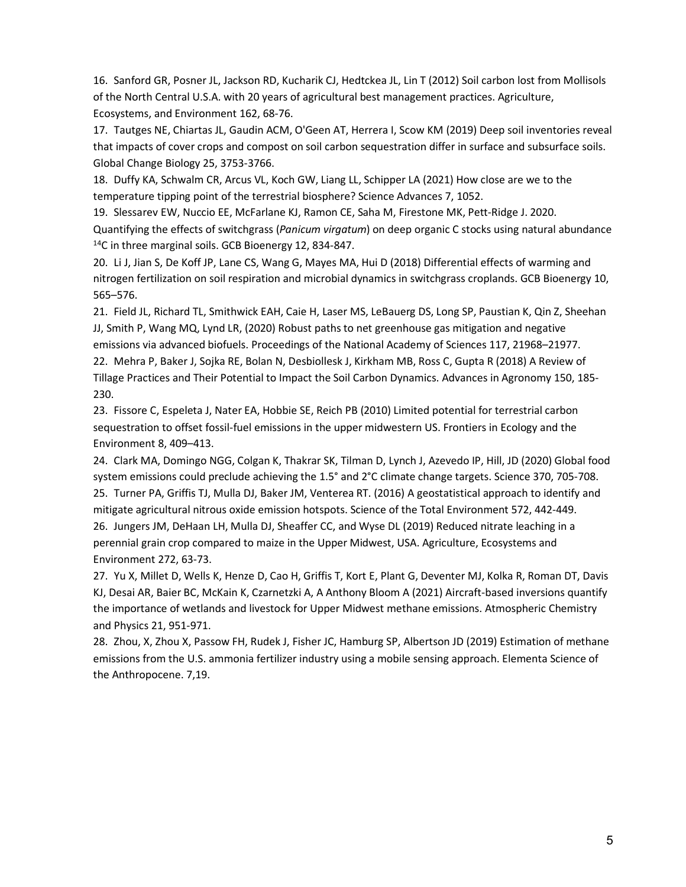16. Sanford GR, Posner JL, Jackson RD, Kucharik CJ, Hedtckea JL, Lin T (2012) Soil carbon lost from Mollisols of the North Central U.S.A. with 20 years of agricultural best management practices. Agriculture, Ecosystems, and Environment 162, 68-76.

17. Tautges NE, Chiartas JL, Gaudin ACM, O'Geen AT, Herrera I, Scow KM (2019) Deep soil inventories reveal that impacts of cover crops and compost on soil carbon sequestration differ in surface and subsurface soils. Global Change Biology 25, 3753-3766.

18. Duffy KA, Schwalm CR, Arcus VL, Koch GW, Liang LL, Schipper LA (2021) How close are we to the temperature tipping point of the terrestrial biosphere? Science Advances 7, 1052.

19. Slessarev EW, Nuccio EE, McFarlane KJ, Ramon CE, Saha M, Firestone MK, Pett-Ridge J. 2020. Quantifying the effects of switchgrass (*Panicum virgatum*) on deep organic C stocks using natural abundance <sup>14</sup>C in three marginal soils. GCB Bioenergy 12, 834-847.

20. Li J, Jian S, De Koff JP, Lane CS, Wang G, Mayes MA, Hui D (2018) Differential effects of warming and nitrogen fertilization on soil respiration and microbial dynamics in switchgrass croplands. GCB Bioenergy 10, 565–576.

21. Field JL, Richard TL, Smithwick EAH, Caie H, Laser MS, LeBauerg DS, Long SP, Paustian K, Qin Z, Sheehan JJ, Smith P, Wang MQ, Lynd LR, (2020) Robust paths to net greenhouse gas mitigation and negative emissions via advanced biofuels. Proceedings of the National Academy of Sciences 117, 21968–21977. 22. Mehra P, Baker J, Sojka RE, Bolan N, Desbiollesk J, Kirkham MB, Ross C, Gupta R (2018) A Review of Tillage Practices and Their Potential to Impact the Soil Carbon Dynamics. Advances in Agronomy 150, 185- 230.

23. Fissore C, Espeleta J, Nater EA, Hobbie SE, Reich PB (2010) Limited potential for terrestrial carbon sequestration to offset fossil-fuel emissions in the upper midwestern US. Frontiers in Ecology and the Environment 8, 409–413.

24. Clark MA, Domingo NGG, Colgan K, Thakrar SK, Tilman D, Lynch J, Azevedo IP, Hill, JD (2020) Global food system emissions could preclude achieving the 1.5° and 2°C climate change targets. Science 370, 705-708. 25. Turner PA, Griffis TJ, Mulla DJ, Baker JM, Venterea RT. (2016) A geostatistical approach to identify and mitigate agricultural nitrous oxide emission hotspots. Science of the Total Environment 572, 442-449. 26. Jungers JM, DeHaan LH, Mulla DJ, Sheaffer CC, and Wyse DL (2019) Reduced nitrate leaching in a perennial grain crop compared to maize in the Upper Midwest, USA. Agriculture, Ecosystems and Environment 272, 63-73.

27. Yu X, Millet D, Wells K, Henze D, Cao H, Griffis T, Kort E, Plant G, Deventer MJ, Kolka R, Roman DT, Davis KJ, Desai AR, Baier BC, McKain K, Czarnetzki A, A Anthony Bloom A (2021) Aircraft-based inversions quantify the importance of wetlands and livestock for Upper Midwest methane emissions. Atmospheric Chemistry and Physics 21, 951-971.

28. Zhou, X, Zhou X, Passow FH, Rudek J, Fisher JC, Hamburg SP, Albertson JD (2019) Estimation of methane emissions from the U.S. ammonia fertilizer industry using a mobile sensing approach. Elementa Science of the Anthropocene. 7,19.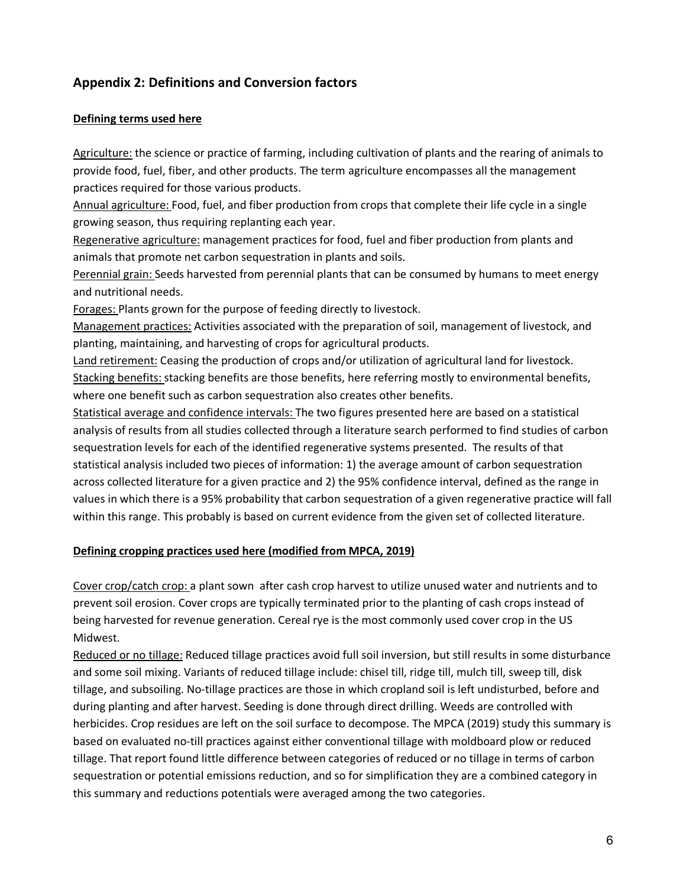# **Appendix 2: Definitions and Conversion factors**

## **Defining terms used here**

Agriculture: the science or practice of farming, including cultivation of plants and the rearing of animals to provide food, fuel, fiber, and other products. The term agriculture encompasses all the management practices required for those various products.

Annual agriculture: Food, fuel, and fiber production from crops that complete their life cycle in a single growing season, thus requiring replanting each year.

Regenerative agriculture: management practices for food, fuel and fiber production from plants and animals that promote net carbon sequestration in plants and soils.

Perennial grain: Seeds harvested from perennial plants that can be consumed by humans to meet energy and nutritional needs.

Forages: Plants grown for the purpose of feeding directly to livestock.

Management practices: Activities associated with the preparation of soil, management of livestock, and planting, maintaining, and harvesting of crops for agricultural products.

Land retirement: Ceasing the production of crops and/or utilization of agricultural land for livestock. Stacking benefits: stacking benefits are those benefits, here referring mostly to environmental benefits, where one benefit such as carbon sequestration also creates other benefits.

Statistical average and confidence intervals: The two figures presented here are based on a statistical analysis of results from all studies collected through a literature search performed to find studies of carbon sequestration levels for each of the identified regenerative systems presented. The results of that statistical analysis included two pieces of information: 1) the average amount of carbon sequestration across collected literature for a given practice and 2) the 95% confidence interval, defined as the range in values in which there is a 95% probability that carbon sequestration of a given regenerative practice will fall within this range. This probably is based on current evidence from the given set of collected literature.

# **Defining cropping practices used here (modified from MPCA, 2019)**

Cover crop/catch crop: a plant sown after cash crop harvest to utilize unused water and nutrients and to prevent soil erosion. Cover crops are typically terminated prior to the planting of cash crops instead of being harvested for revenue generation. Cereal rye is the most commonly used cover crop in the US Midwest.

Reduced or no tillage: Reduced tillage practices avoid full soil inversion, but still results in some disturbance and some soil mixing. Variants of reduced tillage include: chisel till, ridge till, mulch till, sweep till, disk tillage, and subsoiling. No-tillage practices are those in which cropland soil is left undisturbed, before and during planting and after harvest. Seeding is done through direct drilling. Weeds are controlled with herbicides. Crop residues are left on the soil surface to decompose. The MPCA (2019) study this summary is based on evaluated no-till practices against either conventional tillage with moldboard plow or reduced tillage. That report found little difference between categories of reduced or no tillage in terms of carbon sequestration or potential emissions reduction, and so for simplification they are a combined category in this summary and reductions potentials were averaged among the two categories.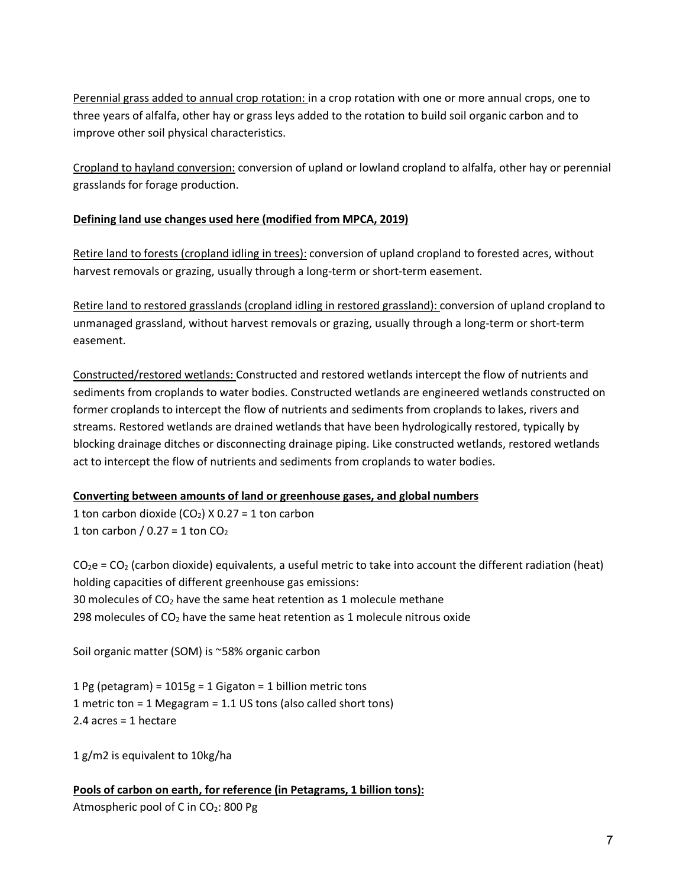Perennial grass added to annual crop rotation: in a crop rotation with one or more annual crops, one to three years of alfalfa, other hay or grass leys added to the rotation to build soil organic carbon and to improve other soil physical characteristics.

Cropland to hayland conversion: conversion of upland or lowland cropland to alfalfa, other hay or perennial grasslands for forage production.

# **Defining land use changes used here (modified from MPCA, 2019)**

Retire land to forests (cropland idling in trees): conversion of upland cropland to forested acres, without harvest removals or grazing, usually through a long-term or short-term easement.

Retire land to restored grasslands (cropland idling in restored grassland): conversion of upland cropland to unmanaged grassland, without harvest removals or grazing, usually through a long-term or short-term easement.

Constructed/restored wetlands: Constructed and restored wetlands intercept the flow of nutrients and sediments from croplands to water bodies. Constructed wetlands are engineered wetlands constructed on former croplands to intercept the flow of nutrients and sediments from croplands to lakes, rivers and streams. Restored wetlands are drained wetlands that have been hydrologically restored, typically by blocking drainage ditches or disconnecting drainage piping. Like constructed wetlands, restored wetlands act to intercept the flow of nutrients and sediments from croplands to water bodies.

## **Converting between amounts of land or greenhouse gases, and global numbers**

1 ton carbon dioxide  $(CO_2)$  X 0.27 = 1 ton carbon 1 ton carbon /  $0.27 = 1$  ton  $CO<sub>2</sub>$ 

 $CO_2e = CO_2$  (carbon dioxide) equivalents, a useful metric to take into account the different radiation (heat) holding capacities of different greenhouse gas emissions: 30 molecules of  $CO<sub>2</sub>$  have the same heat retention as 1 molecule methane 298 molecules of  $CO<sub>2</sub>$  have the same heat retention as 1 molecule nitrous oxide

Soil organic matter (SOM) is ~58% organic carbon

1 Pg (petagram) = 1015g = 1 Gigaton = 1 billion metric tons 1 metric ton = 1 Megagram = 1.1 US tons (also called short tons) 2.4 acres = 1 hectare

1 g/m2 is equivalent to 10kg/ha

**Pools of carbon on earth, for reference (in Petagrams, 1 billion tons):** Atmospheric pool of C in CO<sub>2</sub>: 800 Pg